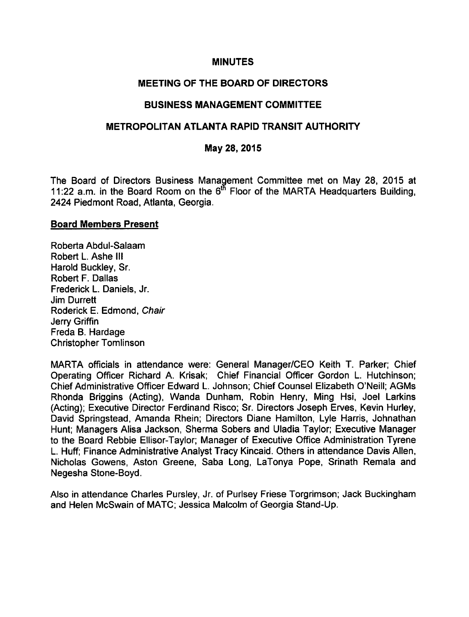#### MINUTES

### MEETING OF THE BOARD OF DIRECTORS

#### BUSINESS MANAGEMENT COMMITTEE

#### METROPOLITAN ATLANTA RAPID TRANSIT AUTHORITY

#### May 28, 2015

The Board of Directors Business Management Committee met on May 28, 2015 at 11:22 a.m. in the Board Room on the  $6^{15}$  Floor of the MARTA Headquarters Building, 2424 Piedmont Road, Atlanta, Georgia.

#### Board Members Present

Roberta Abdul-Salaam Robert L. Ashe III Harold Buckley, Sr. Robert F. Dallas Frederick L. Daniels, Jr. Jim Durrett Roderick E. Edmond, Chair Jerry Griffin Freda B. Hardage Christopher Tomlinson

MARTA officials in attendance were: General Manager/CEO Keith T. Parker; Chief Operating Officer Richard A. Krisak; Chief Financial Officer Gordon L. Hutchinson; Chief Administrative Officer Edward L. Johnson; Chief Counsel Elizabeth O'Neill; AGMs Rhonda Briggins (Acting), Wanda Dunham, Robin Henry, Ming Hsi, Joel Larkins (Acting); Executive Director Ferdinand Risco; Sr. Directors Joseph Erves, Kevin Hurley, David Springstead, Amanda Rhein; Directors Diane Hamilton, Lyle Harris, Johnathan Hunt; Managers Alisa Jackson, Sherma Sobers and Uladia Taylor; Executive Manager to the Board Rebbie Ellisor-Taylor; Manager of Executive Office Administration Tyrene L. Huff; Finance Administrative Analyst Tracy Kincaid. Others in attendance Davis Allen, Nicholas Gowens, Aston Greene, Saba Long, LaTonya Pope, Srinath Remala and Negesha Stone-Boyd.

Also in attendance Charles Pursley, Jr. of Purlsey Friese Torgrimson; Jack Buckingham and Helen McSwain of MATC; Jessica Malcolm of Georgia Stand-Up.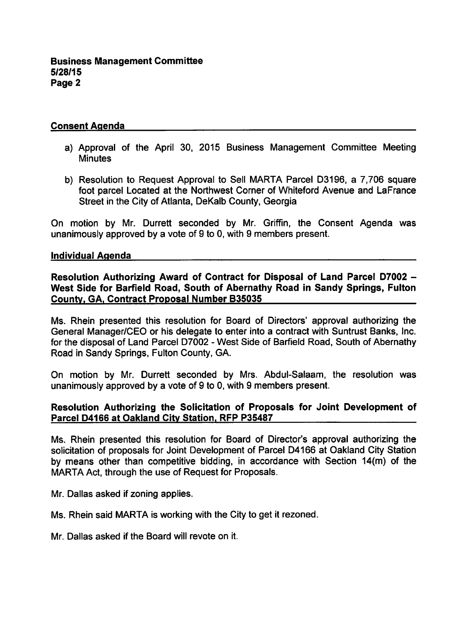### Consent Agenda

- a) Approval of the April 30, 2015 Business Management Committee Meeting **Minutes**
- b) Resolution to Request Approval to Sell MARTA Parcel D3196, a 7,706 square foot parcel Located at the Northwest Corner of Whiteford Avenue and LaFrance Street in the City of Atlanta, DeKalb County, Georgia

On motion by Mr. Durrett seconded by Mr. Griffin, the Consent Agenda was unanimously approved by a vote of 9 to 0, with 9 members present.

#### Individual Agenda

Resolution Authorizing Award of Contract for Disposal of Land Parcel D7002 West Side for Barfield Road, South of Abernathy Road in Sandy Springs, Fulton County. GA. Contract Proposal Number B35035

Ms. Rhein presented this resolution for Board of Directors' approval authorizing the General Manager/CEO or his delegate to enter into a contract with Suntrust Banks, Inc. for the disposal of Land Parcel D7002 - West Side of Barfield Road, South of Abernathy Road in Sandy Springs, Fulton County, GA.

On motion by Mr. Durrett seconded by Mrs. Abdul-Salaam, the resolution was unanimously approved by a vote of  $9$  to 0, with  $9$  members present.

### Resolution Authorizing the Solicitation of Proposals for Joint Development of Parcel D4166 at Oakland City Station. RFP P35487

Ms. Rhein presented this resolution for Board of Director's approval authorizing the solicitation of proposals for Joint Development of Parcel D4166 at Oakland City Station by means other than competitive bidding, in accordance with Section 14(m) of the MARTA Act, through the use of Request for Proposals.

Mr. Dallas asked if zoning applies.

Ms. Rhein said MARTA is working with the City to get it rezoned.

Mr. Dallas asked if the Board will revote on it.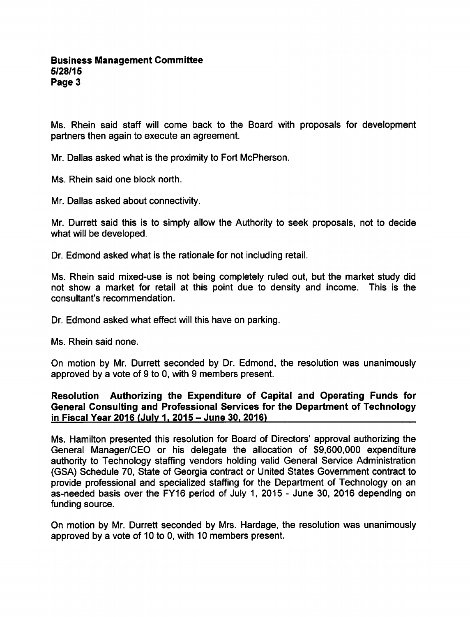Ms. Rhein said staff will come back to the Board with proposals for development partners then again to execute an agreement.

Mr. Dallas asked what is the proximity to Fort McPherson.

Ms. Rhein said one block north.

Mr. Dallas asked about connectivity.

Mr. Durrett said this is to simply allow the Authority to seek proposals, not to decide what will be developed.

Dr. Edmond asked what is the rationale for not including retail.

Ms. Rhein said mixed-use is not being completely ruled out, but the market study did not show a market for retail at this point due to density and income. This is the consultant's recommendation.

Dr. Edmond asked what effect will this have on parking.

Ms. Rhein said none.

On motion by Mr. Durrett seconded by Dr. Edmond, the resolution was unanimously approved by a vote of  $9$  to  $0$ , with  $9$  members present.

### Resolution Authorizing the Expenditure of Capital and Operating Funds for General Consulting and Professional Services for the Department of Technology in Fiscal Year 2016 (July 1, 2015 - June 30, 2016)

Ms. Hamilton presented this resolution for Board of Directors' approval authorizing the General Manager/CEO or his delegate the allocation of \$9,600,000 expenditure authority to Technology staffing vendors holding valid General Service Administration (GSA) Schedule 70, State of Georgia contract or United States Government contract to provide professional and specialized staffing for the Department of Technology on an as-needed basis over the FY16 period of July 1, 2015 - June 30, 2016 depending on funding source.

On motion by Mr. Durrett seconded by Mrs. Hardage, the resolution was unanimously approved by a vote of 10 to 0, with 10 members present.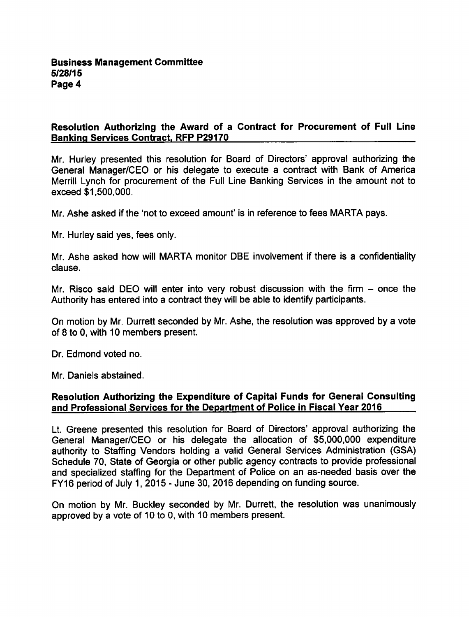### Resolution Authorizing the Award of a Contract for Procurement of Full Line Banking Services Contract. RFP P29170

Mr. Hurley presented this resolution for Board of Directors' approval authorizing the General Manager/CEO or his delegate to execute a contract with Bank of America Merrill Lynch for procurement of the Full Line Banking Services in the amount not to exceed \$1,500,000.

Mr. Ashe asked if the 'not to exceed amount' is in reference to fees MARTA pays.

Mr. Hurley said yes, fees only.

Mr. Ashe asked how will MARTA monitor DBE involvement if there is confidentiality clause.

Mr. Risco said DEO will enter into very robust discussion with the firm  $-$  once the Authority has entered into a contract they will be able to identify participants.

On motion by Mr. Durrett seconded by Mr. Ashe, the resolution was approved by a vote of 8 to 0, with 10 members present.

Dr. Edmond voted no.

Mr. Daniels abstained.

### Resolution Authorizing the Expenditure of Capital Funds for General Consulting and Professional Services for the Department of Police in Fiscal Year 2016

Lt. Greene presented this resolution for Board of Directors' approval authorizing the General Manager/CEO or his delegate the allocation of \$5,000,000 expenditure authority to Staffing Vendors holding a valid General Services Administration (GSA) Schedule 70, State of Georgia or other public agency contracts to provide professional and specialized staffing for the Department of Police on an as-needed basis over the  $FY16$  period of July 1, 2015 - June 30, 2016 depending on funding source.

On motion by Mr. Buckley seconded by Mr. Durrett, the resolution was unanimously approved by a vote of 10 to 0, with 10 members present.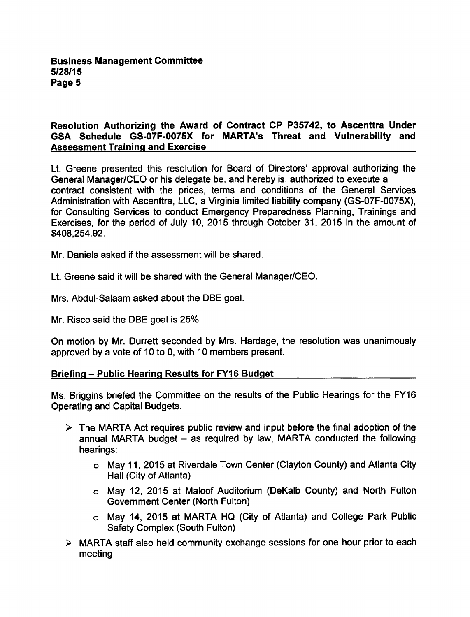### Resolution Authorizing the Award of Contract CP P35742, to Ascenttra Under GSA Schedule GS-07F-0075X for MARTA's Threat and Vulnerability and Assessment Training and Exercise

Lt. Greene presented this resolution for Board of Directors' approval authorizing the General Manager/CEO or his delegate be, and hereby is, authorized to execute contract consistent with the prices, terms and conditions of the General Services Administration with Ascenttra, LLC, a Virginia limited liability company (GS-07F-0075X), for Consulting Services to conduct Emergency Preparedness Planning, Trainings and Exercises, for the period of July 10, 2015 through October 31, 2015 in the amount of \$408,254.92.

Mr. Daniels asked if the assessment will be shared.

Lt. Greene said it will be shared with the General Manager/CEO.

Mrs. Abdul-Salaam asked about the DBE goal.

Mr. Risco said the DBE goal is 25%.

On motion by Mr. Durrett seconded by Mrs. Hardage, the resolution was unanimously approved by a vote of 10 to 0, with 10 members present.

#### Briefing – Public Hearing Results for FY16 Budget

Ms. Briggins briefed the Committee on the results of the Public Hearings for the FY16 Operating and Capital Budgets.

- $\triangleright$  The MARTA Act requires public review and input before the final adoption of the annual MARTA budget  $-$  as required by law, MARTA conducted the following hearings:
	- May 11, 2015 at Riverdale Town Center (Clayton County) and Atlanta City Hall (City of Atlanta)
	- May 12, 2015 at Maloof Auditorium (DeKalb County) and North Fulton Government Center (North Fulton)
	- May 14, 2015 at MARTA HQ (City of Atlanta) and College Park Public Safety Complex (South Fulton)
- $\triangleright$  MARTA staff also held community exchange sessions for one hour prior to each meeting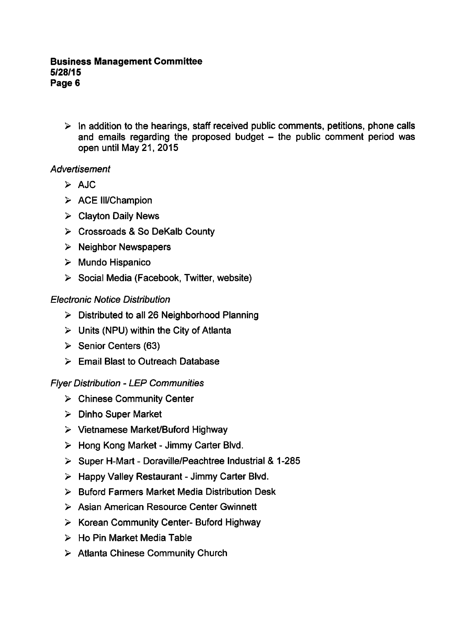$\triangleright$  In addition to the hearings, staff received public comments, petitions, phone calls and emails regarding the proposed budget  $-$  the public comment period was open until May 21, 2015

# **Advertisement**

- $\triangleright$  AJC
- $\triangleright$  ACE III/Champion
- $\triangleright$  Clayton Daily News
- $\triangleright$  Crossroads & So DeKalb County
- $\triangleright$  Neighbor Newspapers
- $\triangleright$  Mundo Hispanico
- $\triangleright$  Social Media (Facebook, Twitter, website)

# Electronic Notice Distribution

- $\triangleright$  Distributed to all 26 Neighborhood Planning
- $\triangleright$  Units (NPU) within the City of Atlanta
- $\triangleright$  Senior Centers (63)
- $\triangleright$  Email Blast to Outreach Database

## Flyer Distribution LEP Communities

- $\triangleright$  Chinese Community Center
- $\triangleright$  Dinho Super Market
- $\triangleright$  Vietnamese Market/Buford Highway
- $\triangleright$  Hong Kong Market Jimmy Carter Blvd.
- $\triangleright$  Super H-Mart Doraville/Peachtree Industrial & 1-285
- $\triangleright$  Happy Valley Restaurant Jimmy Carter Blvd.
- $\triangleright$  Buford Farmers Market Media Distribution Desk
- Asian American Resource Center Gwinnett
- $\triangleright$  Korean Community Center- Buford Highway
- $\triangleright$  Ho Pin Market Media Table
- $\triangleright$  Atlanta Chinese Community Church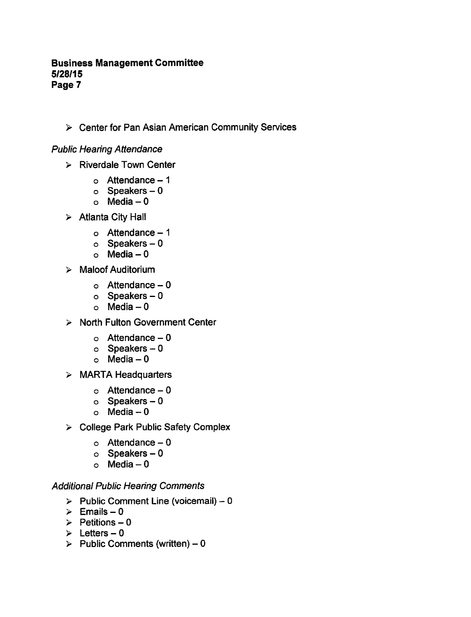### Business Management Committee 5/28/15 Page 7

Center for Pan Asian American Community Services

### Public Hearing Attendance

- $\triangleright$  Riverdale Town Center
	- $\circ$  Attendance 1
	- $o$  Speakers  $-0$
	- $o$  Media  $-0$
- $\triangleright$  Atlanta City Hall
	- $\circ$  Attendance 1
	- $\circ$  Speakers  $-0$
	- $o$  Media  $-0$
- $\triangleright$  Maloof Auditorium
	- $\circ$  Attendance  $-0$
	- $o$  Speakers  $-0$
	- $O$  Media  $-0$
- $\triangleright$  North Fulton Government Center
	- $\circ$  Attendance  $-0$
	- $o$  Speakers  $-0$
	- $o$  Media  $-0$
- $\triangleright$  MARTA Headquarters
	- $\circ$  Attendance  $-0$
	- $o$  Speakers  $-0$
	- $o$  Media  $-0$
- > College Park Public Safety Complex
	- $\circ$  Attendance 0
	- $\circ$  Speakers  $-0$
	- $\circ$  Media  $-0$

### Additional Public Hearing Comments

- $\triangleright$  Public Comment Line (voicemail) 0
- $\geq$  Emails 0
- $\geq$  Petitions 0
- $\geq$  Letters 0
- $\triangleright$  Public Comments (written) 0